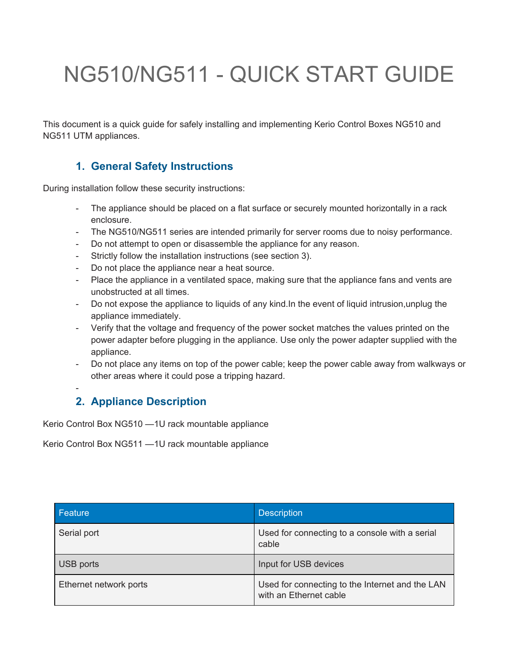# NG510/NG511 - QUICK START GUIDE

This document is a quick guide for safely installing and implementing Kerio Control Boxes NG510 and NG511 UTM appliances.

## **1. General Safety Instructions**

During installation follow these security instructions:

- The appliance should be placed on a flat surface or securely mounted horizontally in a rack enclosure.
- The NG510/NG511 series are intended primarily for server rooms due to noisy performance.
- Do not attempt to open or disassemble the appliance for any reason.
- Strictly follow the installation instructions (see section 3).
- Do not place the appliance near a heat source.
- Place the appliance in a ventilated space, making sure that the appliance fans and vents are unobstructed at all times.
- Do not expose the appliance to liquids of any kind. In the event of liquid intrusion, unplug the appliance immediately.
- Verify that the voltage and frequency of the power socket matches the values printed on the power adapter before plugging in the appliance. Use only the power adapter supplied with the appliance.
- Do not place any items on top of the power cable; keep the power cable away from walkways or other areas where it could pose a tripping hazard.

## **2. Appliance Description**

-

Kerio Control Box NG510 —1U rack mountable appliance

Kerio Control Box NG511 —1U rack mountable appliance

| Feature                | <b>Description</b>                                                        |
|------------------------|---------------------------------------------------------------------------|
| Serial port            | Used for connecting to a console with a serial<br>cable                   |
| USB ports              | Input for USB devices                                                     |
| Ethernet network ports | Used for connecting to the Internet and the LAN<br>with an Ethernet cable |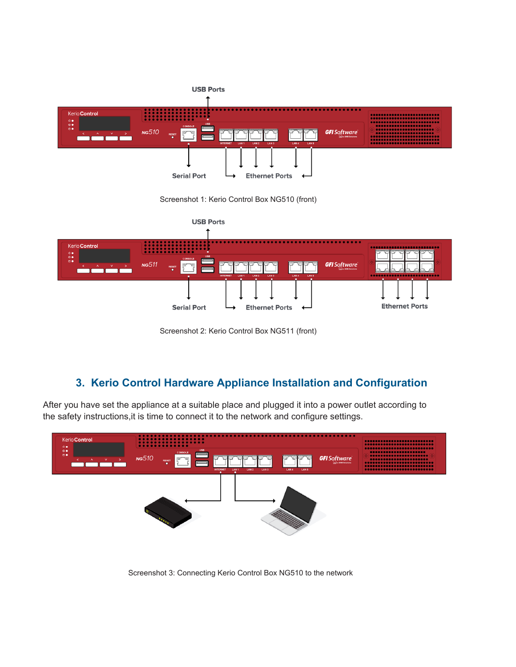

Screenshot 1: Kerio Control Box NG510 (front)



Screenshot 2: Kerio Control Box NG511 (front)

# **3. Kerio Control Hardware Appliance Installation and Configuration**

After you have set the appliance at a suitable place and plugged it into a power outlet according to the safety instructions,it is time to connect it to the network and configure settings.



Screenshot 3: Connecting Kerio Control Box NG510 to the network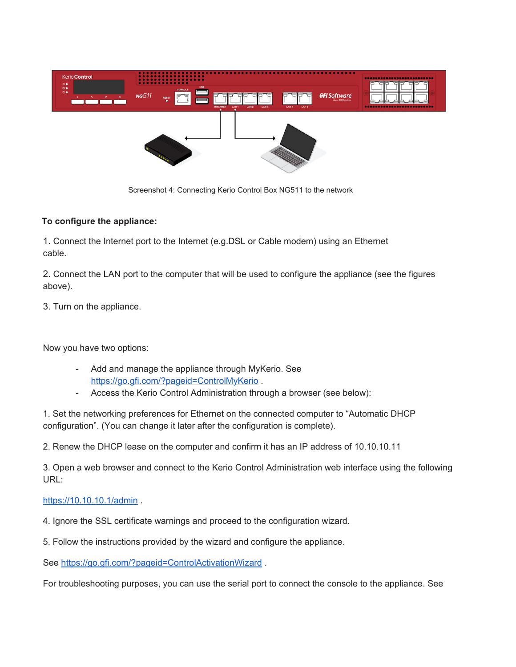

Screenshot 4: Connecting Kerio Control Box NG511 to the network

## **To configure the appliance:**

1. Connect the Internet port to the Internet (e.g.DSL or Cable modem) using an Ethernet cable.

2. Connect the LAN port to the computer that will be used to configure the appliance (see the figures above).

3. Turn on the appliance.

Now you have two options:

- Add and manage the appliance through MyKerio. See <https://go.gfi.com/?pageid=ControlMyKerio>.
- Access the Kerio Control Administration through a browser (see below):

1. Set the networking preferences for Ethernet on the connected computer to "Automatic DHCP configuration". (You can change it later after the configuration is complete).

2. Renew the DHCP lease on the computer and confirm it has an IP address of 10.10.10.11

3. Open a web browser and connect to the Kerio Control Administration web interface using the following URL:

### <https://10.10.10.1/admin>.

- 4. Ignore the SSL certificate warnings and proceed to the configuration wizard.
- 5. Follow the instructions provided by the wizard and configure the appliance.

See <https://go.gfi.com/?pageid=ControlActivationWizard> .

For troubleshooting purposes, you can use the serial port to connect the console to the appliance. See